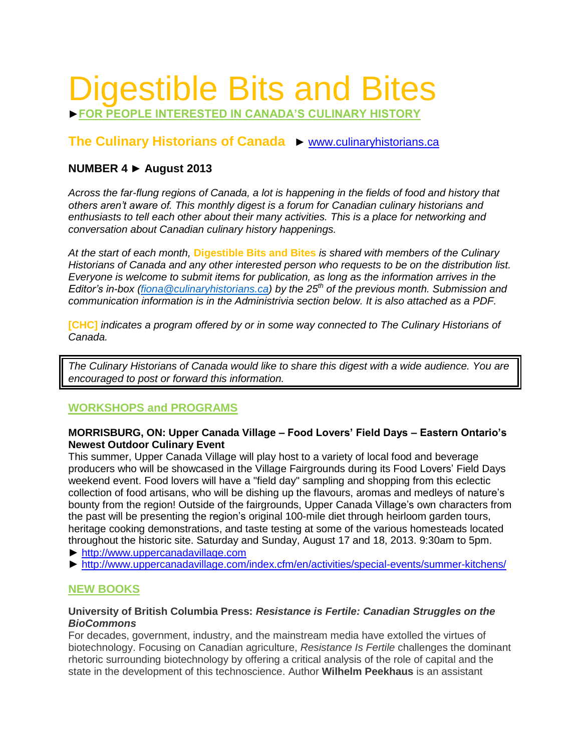# Digestible Bits and Bites

►**FOR PEOPLE INTERESTED IN CANADA'S CULINARY HISTORY**

# **The Culinary Historians of Canada** ► [www.culinaryhistorians.ca](http://www.culinaryhistorians.ca/)

# **NUMBER 4 ► August 2013**

*Across the far-flung regions of Canada, a lot is happening in the fields of food and history that others aren't aware of. This monthly digest is a forum for Canadian culinary historians and enthusiasts to tell each other about their many activities. This is a place for networking and conversation about Canadian culinary history happenings.* 

*At the start of each month,* **Digestible Bits and Bites** *is shared with members of the Culinary Historians of Canada and any other interested person who requests to be on the distribution list. Everyone is welcome to submit items for publication, as long as the information arrives in the Editor's in-box [\(fiona@culinaryhistorians.ca\)](mailto:fiona@culinaryhistorians.ca) by the 25th of the previous month. Submission and communication information is in the Administrivia section below. It is also attached as a PDF.*

**[CHC]** *indicates a program offered by or in some way connected to The Culinary Historians of Canada.*

*The Culinary Historians of Canada would like to share this digest with a wide audience. You are encouraged to post or forward this information.*

## **WORKSHOPS and PROGRAMS**

#### **MORRISBURG, ON: Upper Canada Village – Food Lovers' Field Days – Eastern Ontario's Newest Outdoor Culinary Event**

This summer, Upper Canada Village will play host to a variety of local food and beverage producers who will be showcased in the Village Fairgrounds during its Food Lovers' Field Days weekend event. Food lovers will have a "field day" sampling and shopping from this eclectic collection of food artisans, who will be dishing up the flavours, aromas and medleys of nature's bounty from the region! Outside of the fairgrounds, Upper Canada Village's own characters from the past will be presenting the region's original 100-mile diet through heirloom garden tours, heritage cooking demonstrations, and taste testing at some of the various homesteads located throughout the historic site. Saturday and Sunday, August 17 and 18, 2013. 9:30am to 5pm.

- ► [http://www.uppercanadavillage.com](http://www.uppercanadavillage.com/)
- ► <http://www.uppercanadavillage.com/index.cfm/en/activities/special-events/summer-kitchens/>

# **NEW BOOKS**

#### **University of British Columbia Press:** *Resistance is Fertile: Canadian Struggles on the BioCommons*

For decades, government, industry, and the mainstream media have extolled the virtues of biotechnology. Focusing on Canadian agriculture, *Resistance Is Fertile* challenges the dominant rhetoric surrounding biotechnology by offering a critical analysis of the role of capital and the state in the development of this technoscience. Author **Wilhelm Peekhaus** is an assistant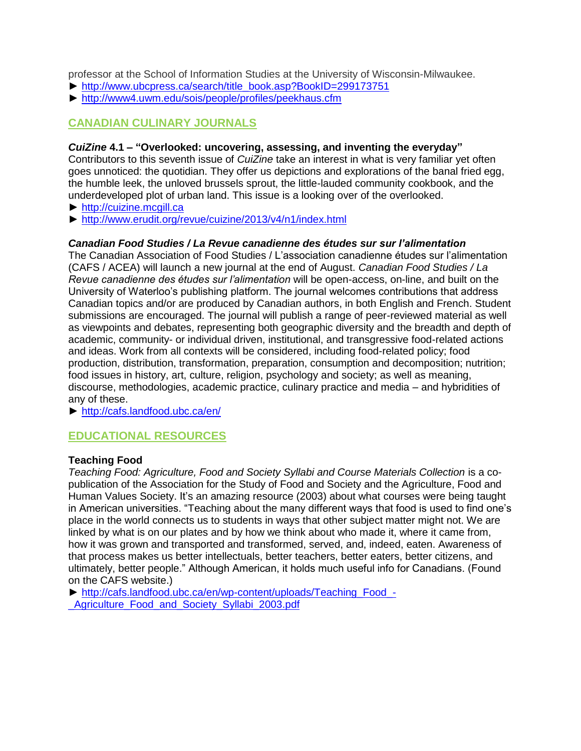professor at the School of Information Studies at the University of Wisconsin-Milwaukee.

- ► [http://www.ubcpress.ca/search/title\\_book.asp?BookID=299173751](http://www.ubcpress.ca/search/title_book.asp?BookID=299173751)
- ► <http://www4.uwm.edu/sois/people/profiles/peekhaus.cfm>

## **CANADIAN CULINARY JOURNALS**

#### *CuiZine* **4.1 – "Overlooked: uncovering, assessing, and inventing the everyday"**

Contributors to this seventh issue of *CuiZine* take an interest in what is very familiar yet often goes unnoticed: the quotidian. They offer us depictions and explorations of the banal fried egg, the humble leek, the unloved brussels sprout, the little-lauded community cookbook, and the underdeveloped plot of urban land. This issue is a looking over of the overlooked.

► [http://cuizine.mcgill.ca](http://cuizine.mcgill.ca/)

► <http://www.erudit.org/revue/cuizine/2013/v4/n1/index.html>

#### *Canadian Food Studies / La Revue canadienne des études sur sur l'alimentation*

The Canadian Association of Food Studies / L'association canadienne études sur l'alimentation (CAFS / ACEA) will launch a new journal at the end of August. *Canadian Food Studies / La Revue canadienne des études sur l'alimentation* will be open-access, on-line, and built on the University of Waterloo's publishing platform. The journal welcomes contributions that address Canadian topics and/or are produced by Canadian authors, in both English and French. Student submissions are encouraged. The journal will publish a range of peer-reviewed material as well as viewpoints and debates, representing both geographic diversity and the breadth and depth of academic, community- or individual driven, institutional, and transgressive food-related actions and ideas. Work from all contexts will be considered, including food-related policy; food production, distribution, transformation, preparation, consumption and decomposition; nutrition; food issues in history, art, culture, religion, psychology and society; as well as meaning, discourse, methodologies, academic practice, culinary practice and media – and hybridities of any of these.

► <http://cafs.landfood.ubc.ca/en/>

## **EDUCATIONAL RESOURCES**

#### **Teaching Food**

*Teaching Food: Agriculture, Food and Society Syllabi and Course Materials Collection* is a copublication of the Association for the Study of Food and Society and the Agriculture, Food and Human Values Society. It's an amazing resource (2003) about what courses were being taught in American universities. "Teaching about the many different ways that food is used to find one's place in the world connects us to students in ways that other subject matter might not. We are linked by what is on our plates and by how we think about who made it, where it came from, how it was grown and transported and transformed, served, and, indeed, eaten. Awareness of that process makes us better intellectuals, better teachers, better eaters, better citizens, and ultimately, better people." Although American, it holds much useful info for Canadians. (Found on the CAFS website.)

► [http://cafs.landfood.ubc.ca/en/wp-content/uploads/Teaching\\_Food\\_-](http://cafs.landfood.ubc.ca/en/wp-content/uploads/Teaching_Food_-_Agriculture_Food_and_Society_Syllabi_2003.pdf) Agriculture Food and Society Syllabi 2003.pdf